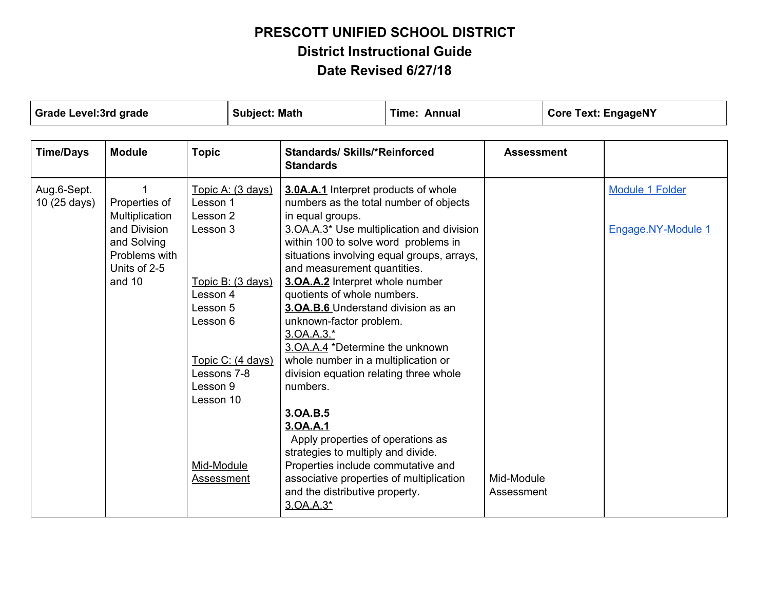| <b>Grade Level:3rd grade</b> |                                                                                                           | <b>Subject: Math</b>                                                                                         |                                                             | <b>Time: Annual</b>                                                                                                                                                                                                                                                                                                                                                                                                                                                                                                                                                                                                   |  | <b>Core Text: EngageNY</b> |                                       |
|------------------------------|-----------------------------------------------------------------------------------------------------------|--------------------------------------------------------------------------------------------------------------|-------------------------------------------------------------|-----------------------------------------------------------------------------------------------------------------------------------------------------------------------------------------------------------------------------------------------------------------------------------------------------------------------------------------------------------------------------------------------------------------------------------------------------------------------------------------------------------------------------------------------------------------------------------------------------------------------|--|----------------------------|---------------------------------------|
| <b>Time/Days</b>             | <b>Module</b>                                                                                             | <b>Topic</b>                                                                                                 |                                                             | <b>Standards/ Skills/*Reinforced</b><br><b>Standards</b>                                                                                                                                                                                                                                                                                                                                                                                                                                                                                                                                                              |  | <b>Assessment</b>          |                                       |
| Aug.6-Sept.<br>10 (25 days)  | Properties of<br>Multiplication<br>and Division<br>and Solving<br>Problems with<br>Units of 2-5<br>and 10 | Lesson 1<br>Lesson 2<br>Lesson 3<br>Lesson 4<br>Lesson 5<br>Lesson 6<br>Lessons 7-8<br>Lesson 9<br>Lesson 10 | Topic A: (3 days)<br>Topic B: (3 days)<br>Topic C: (4 days) | 3.0A.A.1 Interpret products of whole<br>numbers as the total number of objects<br>in equal groups.<br>3.OA.A.3* Use multiplication and division<br>within 100 to solve word problems in<br>situations involving equal groups, arrays,<br>and measurement quantities.<br>3. OA.A.2 Interpret whole number<br>quotients of whole numbers.<br>3. OA.B.6 Understand division as an<br>unknown-factor problem.<br>3.0A.A.3.*<br>3. OA.A.4 *Determine the unknown<br>whole number in a multiplication or<br>division equation relating three whole<br>numbers.<br>3.0A.B.5<br>3.0A.A.1<br>Apply properties of operations as |  |                            | Module 1 Folder<br>Engage.NY-Module 1 |
|                              |                                                                                                           | Mid-Module<br>Assessment                                                                                     |                                                             | strategies to multiply and divide.<br>Properties include commutative and<br>associative properties of multiplication<br>and the distributive property.<br>3.0A.A.3*                                                                                                                                                                                                                                                                                                                                                                                                                                                   |  | Mid-Module<br>Assessment   |                                       |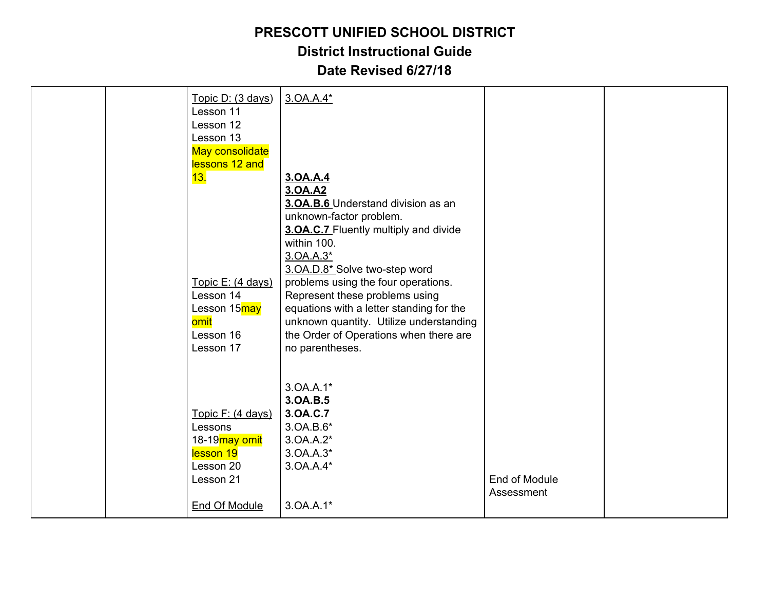| Topic D: (3 days)         | 3.0A.A.4*                                |               |  |
|---------------------------|------------------------------------------|---------------|--|
| Lesson 11                 |                                          |               |  |
| Lesson 12                 |                                          |               |  |
| Lesson 13                 |                                          |               |  |
| May consolidate           |                                          |               |  |
| lessons 12 and            |                                          |               |  |
| <mark>13.</mark>          | 3.0A.A.4                                 |               |  |
|                           | 3.0A.A2                                  |               |  |
|                           | 3.OA.B.6 Understand division as an       |               |  |
|                           | unknown-factor problem.                  |               |  |
|                           | 3. OA.C.7 Fluently multiply and divide   |               |  |
|                           | within 100.                              |               |  |
|                           | 3.0A.A.3*                                |               |  |
|                           | 3.OA.D.8* Solve two-step word            |               |  |
| Topic E: (4 days)         | problems using the four operations.      |               |  |
| Lesson 14                 | Represent these problems using           |               |  |
| Lesson 15may              | equations with a letter standing for the |               |  |
| omit                      | unknown quantity. Utilize understanding  |               |  |
| Lesson 16                 | the Order of Operations when there are   |               |  |
| Lesson 17                 | no parentheses.                          |               |  |
|                           |                                          |               |  |
|                           |                                          |               |  |
|                           | 3.0A.A.1*                                |               |  |
|                           | 3.0A.B.5                                 |               |  |
| Topic F: (4 days)         | 3.0A.C.7                                 |               |  |
| Lessons                   | 3.0A.B.6*                                |               |  |
| 18-19 <sub>may</sub> omit | 3.0A.A.2*                                |               |  |
| lesson 19                 | 3.0A.A.3*                                |               |  |
| Lesson 20                 | 3.0A.A.4*                                |               |  |
| Lesson 21                 |                                          | End of Module |  |
|                           |                                          | Assessment    |  |
| <b>End Of Module</b>      | 3.0A.A.1*                                |               |  |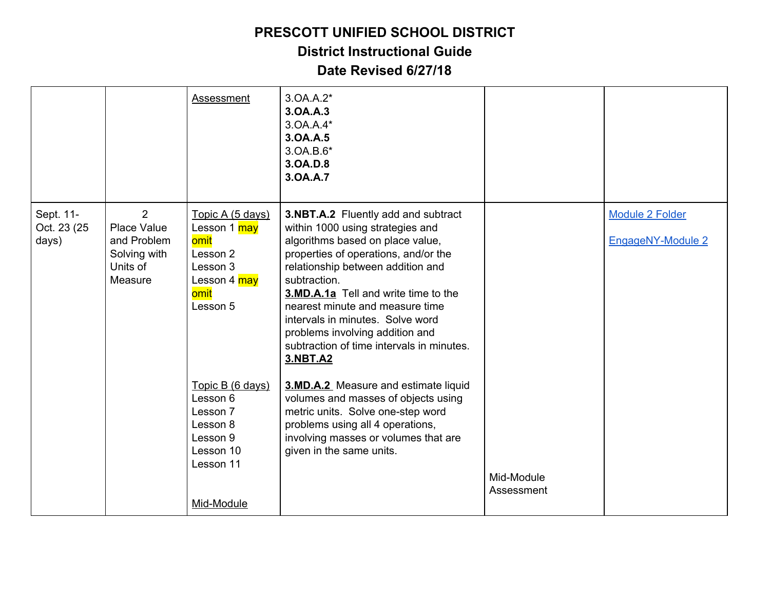**District Instructional Guide**

|                                    |                                                                                     | Assessment                                                                                               | 3.0A.A.2*<br>3.0A.A.3<br>3.0A.A.4*<br>3.0A.A.5<br>3.0A.B.6*<br>3.0A.D.8<br>3.0A.A.7                                                                                                                                                                                                                                                                                                                                               |                          |                                             |
|------------------------------------|-------------------------------------------------------------------------------------|----------------------------------------------------------------------------------------------------------|-----------------------------------------------------------------------------------------------------------------------------------------------------------------------------------------------------------------------------------------------------------------------------------------------------------------------------------------------------------------------------------------------------------------------------------|--------------------------|---------------------------------------------|
| Sept. 11-<br>Oct. 23 (25)<br>days) | $\overline{2}$<br>Place Value<br>and Problem<br>Solving with<br>Units of<br>Measure | Topic A (5 days)<br>Lesson 1 may<br>omit<br>Lesson 2<br>Lesson 3<br>Lesson 4 may<br>omit<br>Lesson 5     | 3.NBT.A.2 Fluently add and subtract<br>within 1000 using strategies and<br>algorithms based on place value,<br>properties of operations, and/or the<br>relationship between addition and<br>subtraction.<br><b>3.MD.A.1a</b> Tell and write time to the<br>nearest minute and measure time<br>intervals in minutes. Solve word<br>problems involving addition and<br>subtraction of time intervals in minutes.<br><b>3.NBT.A2</b> |                          | <b>Module 2 Folder</b><br>EngageNY-Module 2 |
|                                    |                                                                                     | Topic B (6 days)<br>Lesson 6<br>Lesson 7<br>Lesson 8<br>Lesson 9<br>Lesson 10<br>Lesson 11<br>Mid-Module | 3.MD.A.2 Measure and estimate liquid<br>volumes and masses of objects using<br>metric units. Solve one-step word<br>problems using all 4 operations,<br>involving masses or volumes that are<br>given in the same units.                                                                                                                                                                                                          | Mid-Module<br>Assessment |                                             |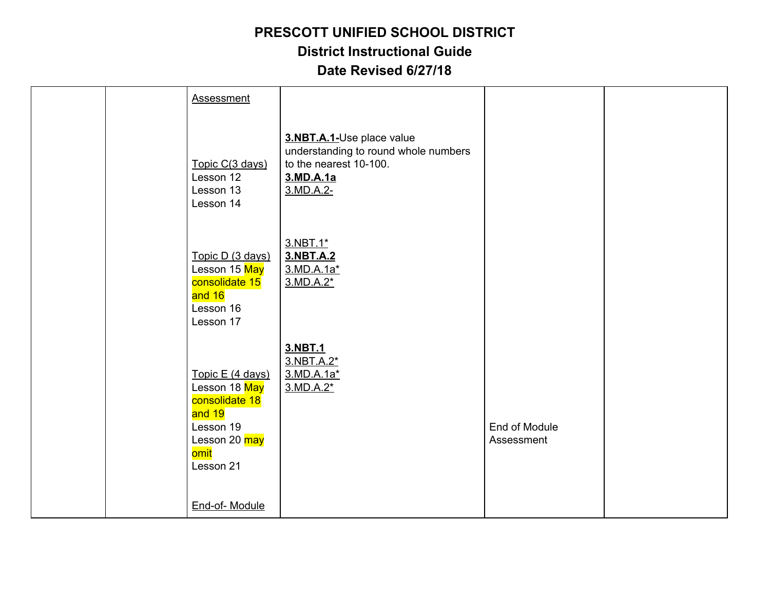|  | <b>Assessment</b>                                                                                                |                                                                                                                       |                             |  |
|--|------------------------------------------------------------------------------------------------------------------|-----------------------------------------------------------------------------------------------------------------------|-----------------------------|--|
|  | Topic C(3 days)<br>Lesson 12<br>Lesson 13<br>Lesson 14                                                           | 3.NBT.A.1-Use place value<br>understanding to round whole numbers<br>to the nearest 10-100.<br>3.MD.A.1a<br>3.MD.A.2- |                             |  |
|  | Topic D (3 days)<br>Lesson 15 May<br>consolidate 15<br>and 16<br>Lesson 16<br>Lesson 17                          | 3.NBT.1*<br>3.NBT.A.2<br>3.MD.A.1a*<br>$3.MD.A.2*$                                                                    |                             |  |
|  | Topic E (4 days)<br>Lesson 18 May<br>consolidate 18<br>and 19<br>Lesson 19<br>Lesson 20 may<br>omit<br>Lesson 21 | 3.NBT.1<br>3.NBT.A.2*<br>3.MD.A.1a*<br>3.MD.A.2*                                                                      | End of Module<br>Assessment |  |
|  | End-of-Module                                                                                                    |                                                                                                                       |                             |  |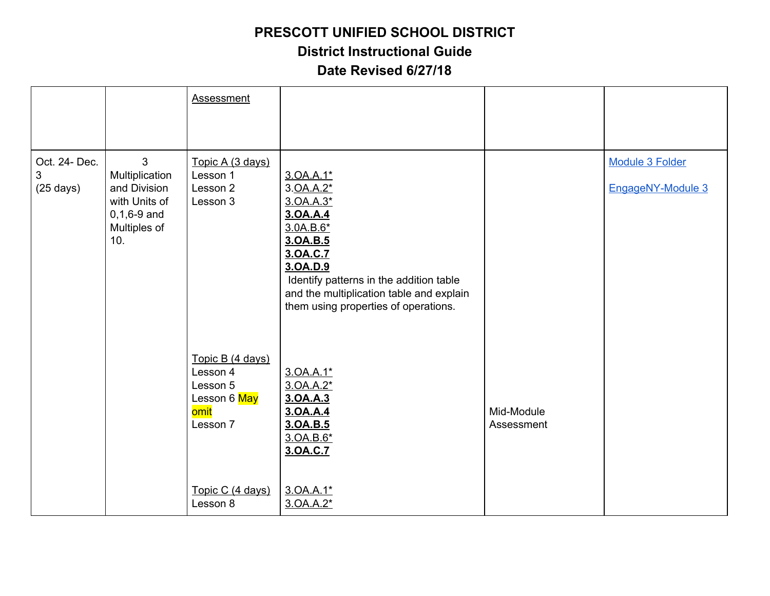**District Instructional Guide**

|                                           |                                                                                                  | <b>Assessment</b>                                                                                            |                                                                                                                                                                                                                                 |                          |                                      |
|-------------------------------------------|--------------------------------------------------------------------------------------------------|--------------------------------------------------------------------------------------------------------------|---------------------------------------------------------------------------------------------------------------------------------------------------------------------------------------------------------------------------------|--------------------------|--------------------------------------|
| Oct. 24- Dec.<br>3<br>$(25 \text{ days})$ | 3<br>Multiplication<br>and Division<br>with Units of<br>$0, 1, 6 - 9$ and<br>Multiples of<br>10. | Topic A (3 days)<br>Lesson 1<br>Lesson 2<br>Lesson 3                                                         | 3.0A.A.1*<br>3.0A.A.2*<br>3.0A.A.3*<br>3.0A.A.4<br>3.0A.B.6*<br>3.0A.B.5<br>3.0A.C.7<br>3.0A.D.9<br>Identify patterns in the addition table<br>and the multiplication table and explain<br>them using properties of operations. |                          | Module 3 Folder<br>EngageNY-Module 3 |
|                                           |                                                                                                  | Topic B (4 days)<br>Lesson 4<br>Lesson 5<br>Lesson 6 May<br>omit<br>Lesson 7<br>Topic C (4 days)<br>Lesson 8 | 3.0A.A.1*<br>3.0A.A.2*<br>3.0A.A.3<br>3.0A.A.4<br>3.0A.B.5<br>3.0A.B.6*<br>3.0A.C.7<br>3.0A.A.1*<br>3.0A.A.2*                                                                                                                   | Mid-Module<br>Assessment |                                      |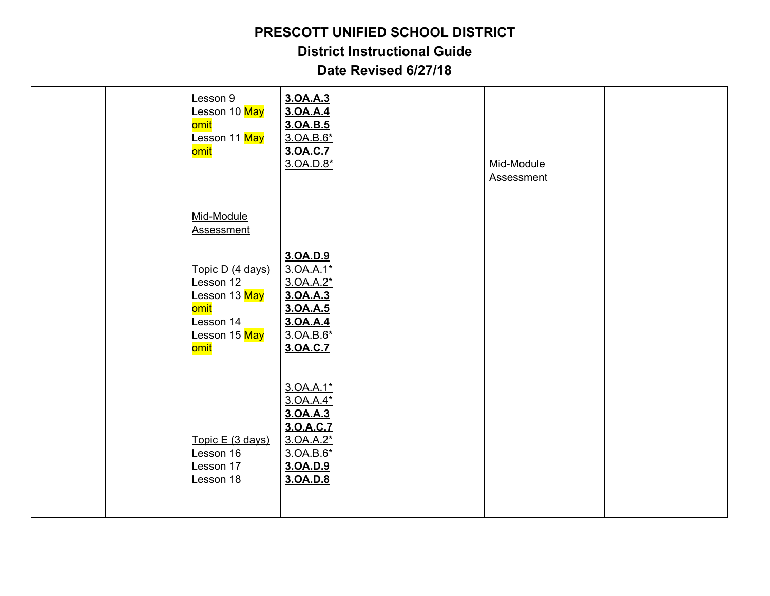**District Instructional Guide**

|  | Lesson 9<br>Lesson 10 May<br>omit<br>Lesson 11 May<br><mark>omit</mark>                                   | 3.0A.A.3<br>3.0A.A.4<br>3.0A.B.5<br>3.0A.B.6*<br>3.0A.C.7<br>3.0A.D.8*                            | Mid-Module<br>Assessment |  |
|--|-----------------------------------------------------------------------------------------------------------|---------------------------------------------------------------------------------------------------|--------------------------|--|
|  | Mid-Module<br><b>Assessment</b>                                                                           |                                                                                                   |                          |  |
|  | Topic D (4 days)<br>Lesson 12<br>Lesson 13 May<br>omit<br>Lesson 14<br>Lesson 15 May<br><mark>omit</mark> | 3.0A.D.9<br>3.0A.A.1*<br>3.0A.A.2*<br>3.0A.A.3<br>3.0A.A.5<br>3.0A.A.4<br>3.0A.B.6*<br>3.0A.C.7   |                          |  |
|  | Topic E (3 days)<br>Lesson 16<br>Lesson 17<br>Lesson 18                                                   | 3.0A.A.1*<br>3.0A.A.4*<br>3.0A.A.3<br>3.0.A.C.7<br>3.0A.A.2*<br>3.0A.B.6*<br>3.0A.D.9<br>3.0A.D.8 |                          |  |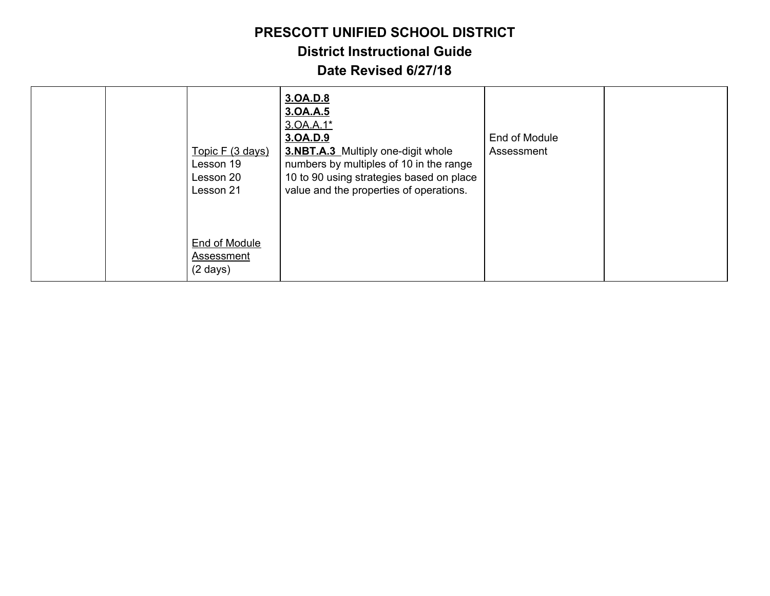**District Instructional Guide**

|  | Topic F (3 days)<br>Lesson 19<br>Lesson 20<br>Lesson 21  | 3.0A.D.8<br>3.0A.A.5<br>3.0A.A.1*<br>3.0A.D.9<br>3.NBT.A.3 Multiply one-digit whole<br>numbers by multiples of 10 in the range<br>10 to 90 using strategies based on place<br>value and the properties of operations. | End of Module<br>Assessment |  |
|--|----------------------------------------------------------|-----------------------------------------------------------------------------------------------------------------------------------------------------------------------------------------------------------------------|-----------------------------|--|
|  | End of Module<br><b>Assessment</b><br>$(2 \text{ days})$ |                                                                                                                                                                                                                       |                             |  |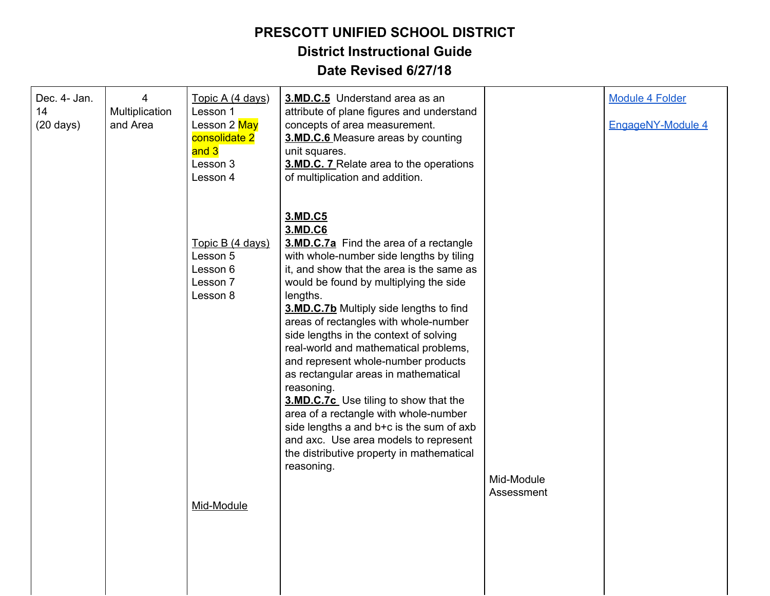| Dec. 4- Jan.<br>14<br>$(20 \text{ days})$ | 4<br>Multiplication<br>and Area | Topic A (4 days)<br>Lesson 1<br>Lesson 2 May<br>consolidate 2<br>and 3<br>Lesson 3<br>Lesson 4 | 3.MD.C.5 Understand area as an<br>attribute of plane figures and understand<br>concepts of area measurement.<br>3.MD.C.6 Measure areas by counting<br>unit squares.<br>3.MD.C. 7 Relate area to the operations<br>of multiplication and addition.                                                                                                                                                                                                                                                                                                                                                                                                                                                                 |                          | <b>Module 4 Folder</b><br>EngageNY-Module 4 |
|-------------------------------------------|---------------------------------|------------------------------------------------------------------------------------------------|-------------------------------------------------------------------------------------------------------------------------------------------------------------------------------------------------------------------------------------------------------------------------------------------------------------------------------------------------------------------------------------------------------------------------------------------------------------------------------------------------------------------------------------------------------------------------------------------------------------------------------------------------------------------------------------------------------------------|--------------------------|---------------------------------------------|
|                                           |                                 | Topic B (4 days)<br>Lesson 5<br>Lesson 6<br>Lesson 7<br>Lesson 8<br>Mid-Module                 | 3.MD.C5<br>3.MD.C6<br>3.MD.C.7a Find the area of a rectangle<br>with whole-number side lengths by tiling<br>it, and show that the area is the same as<br>would be found by multiplying the side<br>lengths.<br>3.MD.C.7b Multiply side lengths to find<br>areas of rectangles with whole-number<br>side lengths in the context of solving<br>real-world and mathematical problems,<br>and represent whole-number products<br>as rectangular areas in mathematical<br>reasoning.<br>3.MD.C.7c Use tiling to show that the<br>area of a rectangle with whole-number<br>side lengths a and b+c is the sum of axb<br>and axc. Use area models to represent<br>the distributive property in mathematical<br>reasoning. | Mid-Module<br>Assessment |                                             |
|                                           |                                 |                                                                                                |                                                                                                                                                                                                                                                                                                                                                                                                                                                                                                                                                                                                                                                                                                                   |                          |                                             |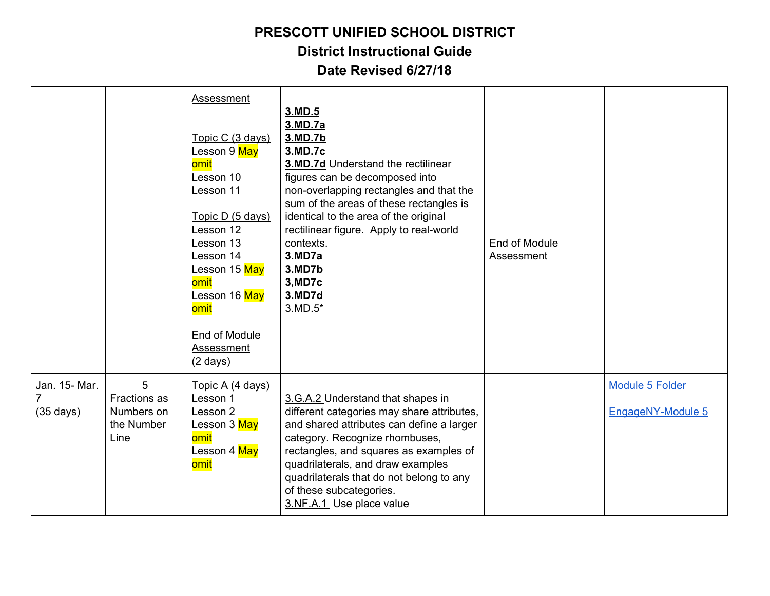|                                           |                                                              | Assessment<br>Topic C (3 days)<br>Lesson 9 May<br>omit<br>Lesson 10<br>Lesson 11<br>Topic D (5 days)<br>Lesson 12<br>Lesson 13<br>Lesson 14<br>Lesson 15 May<br>omit<br>Lesson 16 May<br>omit<br><b>End of Module</b><br>Assessment<br>$(2 \text{ days})$ | 3.MD.5<br>3.MD.7a<br>3.MD.7b<br>3.MD.7c<br><b>3.MD.7d Understand the rectilinear</b><br>figures can be decomposed into<br>non-overlapping rectangles and that the<br>sum of the areas of these rectangles is<br>identical to the area of the original<br>rectilinear figure. Apply to real-world<br>contexts.<br>3.MD7a<br>3.MD7b<br>3, MD7c<br><b>3.MD7d</b><br>$3.MD.5*$ | End of Module<br>Assessment |                                      |
|-------------------------------------------|--------------------------------------------------------------|-----------------------------------------------------------------------------------------------------------------------------------------------------------------------------------------------------------------------------------------------------------|----------------------------------------------------------------------------------------------------------------------------------------------------------------------------------------------------------------------------------------------------------------------------------------------------------------------------------------------------------------------------|-----------------------------|--------------------------------------|
| Jan. 15- Mar.<br>7<br>$(35 \text{ days})$ | 5<br><b>Fractions</b> as<br>Numbers on<br>the Number<br>Line | Topic A (4 days)<br>Lesson 1<br>Lesson 2<br>Lesson 3 May<br>omit<br>Lesson 4 May<br>omit                                                                                                                                                                  | 3.G.A.2 Understand that shapes in<br>different categories may share attributes,<br>and shared attributes can define a larger<br>category. Recognize rhombuses,<br>rectangles, and squares as examples of<br>quadrilaterals, and draw examples<br>quadrilaterals that do not belong to any<br>of these subcategories.<br>3.NF.A.1 Use place value                           |                             | Module 5 Folder<br>EngageNY-Module 5 |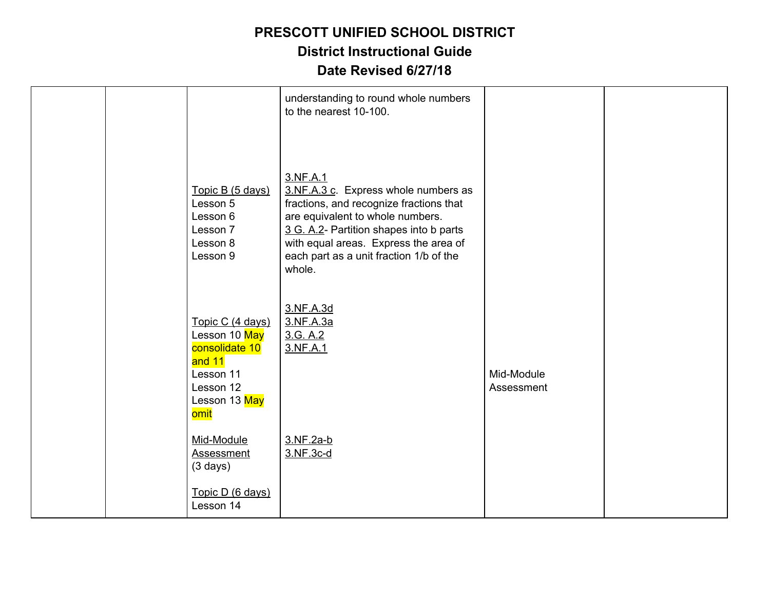|                                                                                                                  | understanding to round whole numbers<br>to the nearest 10-100.                                                                                                                                                                                                           |                          |  |
|------------------------------------------------------------------------------------------------------------------|--------------------------------------------------------------------------------------------------------------------------------------------------------------------------------------------------------------------------------------------------------------------------|--------------------------|--|
| Topic B (5 days)<br>Lesson 5<br>Lesson 6<br>Lesson 7<br>Lesson 8<br>Lesson 9                                     | 3.NF.A.1<br>3.NF.A.3 c. Express whole numbers as<br>fractions, and recognize fractions that<br>are equivalent to whole numbers.<br>3 G. A.2- Partition shapes into b parts<br>with equal areas. Express the area of<br>each part as a unit fraction 1/b of the<br>whole. |                          |  |
| Topic C (4 days)<br>Lesson 10 May<br>consolidate 10<br>and 11<br>Lesson 11<br>Lesson 12<br>Lesson 13 May<br>omit | 3.NF.A.3d<br>3.NF.A.3a<br>3.G. A.2<br>3.NF.A.1                                                                                                                                                                                                                           | Mid-Module<br>Assessment |  |
| Mid-Module<br><b>Assessment</b><br>$(3 \text{ days})$<br>Topic D (6 days)<br>Lesson 14                           | 3.NF.2a-b<br>3.NF.3c-d                                                                                                                                                                                                                                                   |                          |  |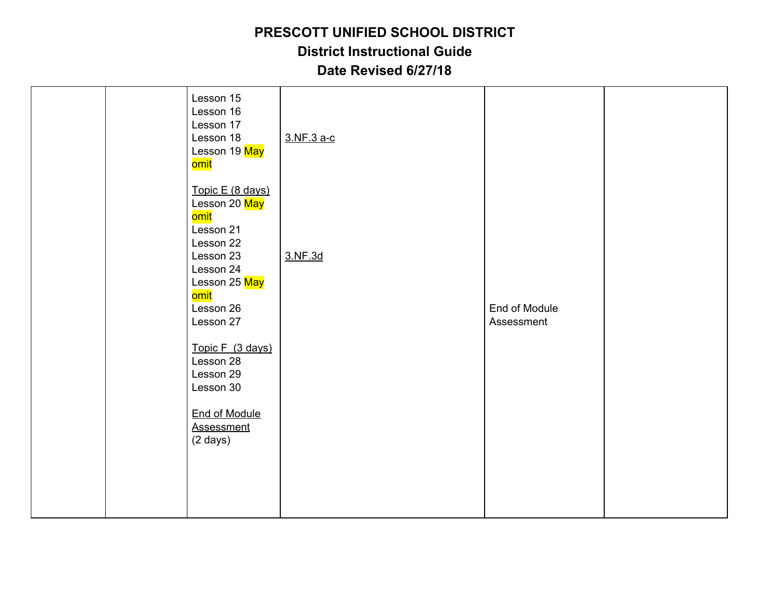|  | Lesson 15            |            |               |  |
|--|----------------------|------------|---------------|--|
|  | Lesson 16            |            |               |  |
|  | Lesson 17            |            |               |  |
|  | Lesson 18            | 3.NF.3 a-c |               |  |
|  | Lesson 19 May        |            |               |  |
|  | <mark>omit</mark>    |            |               |  |
|  |                      |            |               |  |
|  | Topic E (8 days)     |            |               |  |
|  | Lesson 20 May        |            |               |  |
|  | omit                 |            |               |  |
|  | Lesson 21            |            |               |  |
|  | Lesson 22            |            |               |  |
|  | Lesson 23            | 3.NF.3d    |               |  |
|  | Lesson 24            |            |               |  |
|  | Lesson 25 May        |            |               |  |
|  | omit                 |            |               |  |
|  | Lesson 26            |            | End of Module |  |
|  | Lesson 27            |            | Assessment    |  |
|  |                      |            |               |  |
|  | Topic F (3 days)     |            |               |  |
|  | Lesson 28            |            |               |  |
|  | Lesson 29            |            |               |  |
|  | Lesson 30            |            |               |  |
|  |                      |            |               |  |
|  | <b>End of Module</b> |            |               |  |
|  | <b>Assessment</b>    |            |               |  |
|  | $(2 \text{ days})$   |            |               |  |
|  |                      |            |               |  |
|  |                      |            |               |  |
|  |                      |            |               |  |
|  |                      |            |               |  |
|  |                      |            |               |  |
|  |                      |            |               |  |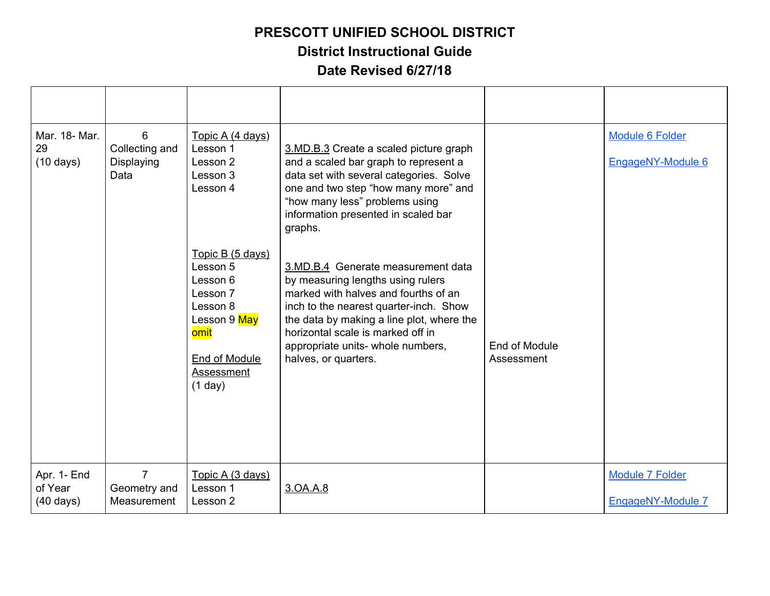| Mar. 18- Mar.<br>29<br>$(10 \text{ days})$    | 6<br>Collecting and<br>Displaying<br>Data     | Topic A (4 days)<br>Lesson 1<br>Lesson 2<br>Lesson 3<br>Lesson 4<br>Topic B (5 days)<br>Lesson 5<br>Lesson 6<br>Lesson 7<br>Lesson 8<br>Lesson 9 May<br>omit<br><b>End of Module</b><br>Assessment<br>(1 day) | 3.MD.B.3 Create a scaled picture graph<br>and a scaled bar graph to represent a<br>data set with several categories. Solve<br>one and two step "how many more" and<br>"how many less" problems using<br>information presented in scaled bar<br>graphs.<br>3.MD.B.4 Generate measurement data<br>by measuring lengths using rulers<br>marked with halves and fourths of an<br>inch to the nearest quarter-inch. Show<br>the data by making a line plot, where the<br>horizontal scale is marked off in<br>appropriate units- whole numbers,<br>halves, or quarters. | End of Module<br>Assessment | <b>Module 6 Folder</b><br>EngageNY-Module 6 |
|-----------------------------------------------|-----------------------------------------------|---------------------------------------------------------------------------------------------------------------------------------------------------------------------------------------------------------------|--------------------------------------------------------------------------------------------------------------------------------------------------------------------------------------------------------------------------------------------------------------------------------------------------------------------------------------------------------------------------------------------------------------------------------------------------------------------------------------------------------------------------------------------------------------------|-----------------------------|---------------------------------------------|
| Apr. 1- End<br>of Year<br>$(40 \text{ days})$ | $\overline{7}$<br>Geometry and<br>Measurement | Topic A (3 days)<br>Lesson 1<br>Lesson 2                                                                                                                                                                      | 3.0A.A.8                                                                                                                                                                                                                                                                                                                                                                                                                                                                                                                                                           |                             | <b>Module 7 Folder</b><br>EngageNY-Module 7 |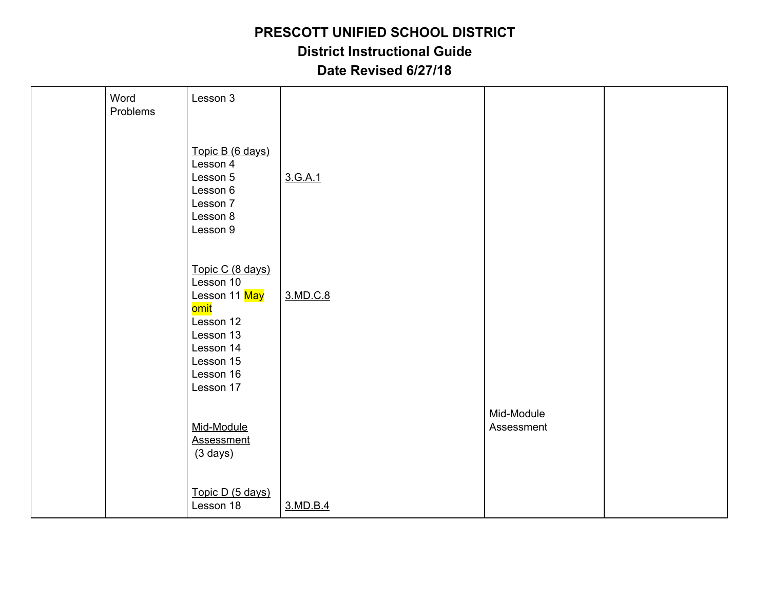| Word<br>Problems | Lesson 3                                                                                                                             |          |                          |  |
|------------------|--------------------------------------------------------------------------------------------------------------------------------------|----------|--------------------------|--|
|                  | Topic B (6 days)<br>Lesson 4<br>Lesson 5<br>Lesson 6<br>Lesson 7<br>Lesson 8<br>Lesson 9                                             | 3.G.A.1  |                          |  |
|                  | Topic C (8 days)<br>Lesson 10<br>Lesson 11 May<br>omit<br>Lesson 12<br>Lesson 13<br>Lesson 14<br>Lesson 15<br>Lesson 16<br>Lesson 17 | 3.MD.C.8 |                          |  |
|                  | Mid-Module<br><b>Assessment</b><br>$(3 \text{ days})$                                                                                |          | Mid-Module<br>Assessment |  |
|                  | Topic D (5 days)<br>Lesson 18                                                                                                        | 3.MD.B.4 |                          |  |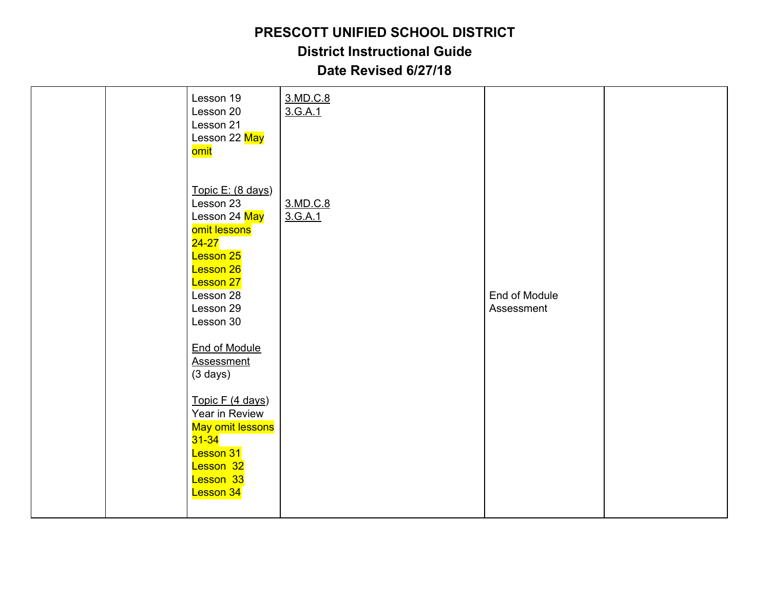**District Instructional Guide**

| Lesson 19<br>Lesson 20<br>Lesson 21<br>Lesson 22 May<br>omit                                                                                                                                                                                                                                                                                                    | 3.MD.C.8<br>3.G.A.1 |                             |  |
|-----------------------------------------------------------------------------------------------------------------------------------------------------------------------------------------------------------------------------------------------------------------------------------------------------------------------------------------------------------------|---------------------|-----------------------------|--|
| Topic E: (8 days)<br>Lesson 23<br>Lesson 24 May<br>omit lessons<br>$24 - 27$<br>Lesson 25<br>Lesson 26<br><b>Lesson 27</b><br>Lesson 28<br>Lesson 29<br>Lesson 30<br><b>End of Module</b><br><b>Assessment</b><br>$(3 \text{ days})$<br>Topic F (4 days)<br>Year in Review<br>May omit lessons<br>$31 - 34$<br>Lesson 31<br>Lesson 32<br>Lesson 33<br>Lesson 34 | 3.MD.C.8<br>3.G.A.1 | End of Module<br>Assessment |  |
|                                                                                                                                                                                                                                                                                                                                                                 |                     |                             |  |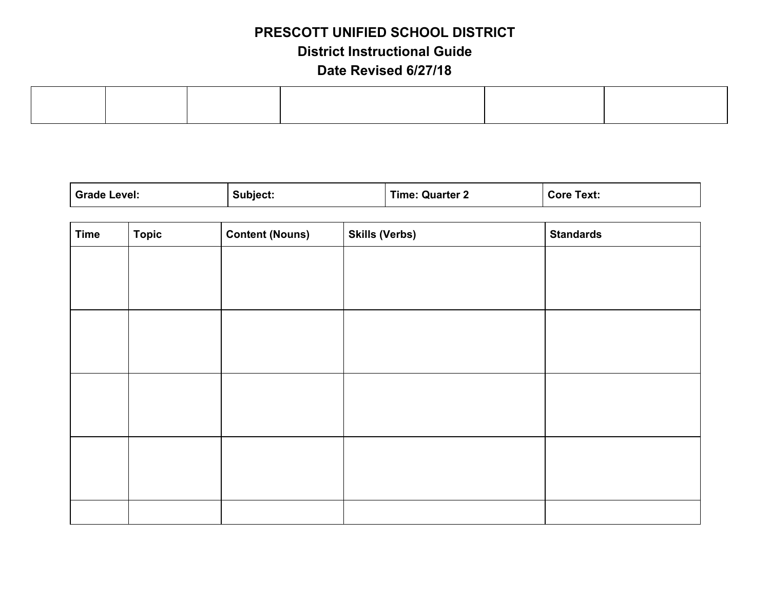| <b>Grade Level:</b> | Subject: | <b>Time: Quarter 2</b> | <b>Core Text:</b> |
|---------------------|----------|------------------------|-------------------|
|---------------------|----------|------------------------|-------------------|

| <b>Time</b> | <b>Topic</b> | <b>Content (Nouns)</b> | <b>Skills (Verbs)</b> | <b>Standards</b> |
|-------------|--------------|------------------------|-----------------------|------------------|
|             |              |                        |                       |                  |
|             |              |                        |                       |                  |
|             |              |                        |                       |                  |
|             |              |                        |                       |                  |
|             |              |                        |                       |                  |
|             |              |                        |                       |                  |
|             |              |                        |                       |                  |
|             |              |                        |                       |                  |
|             |              |                        |                       |                  |
|             |              |                        |                       |                  |
|             |              |                        |                       |                  |
|             |              |                        |                       |                  |
|             |              |                        |                       |                  |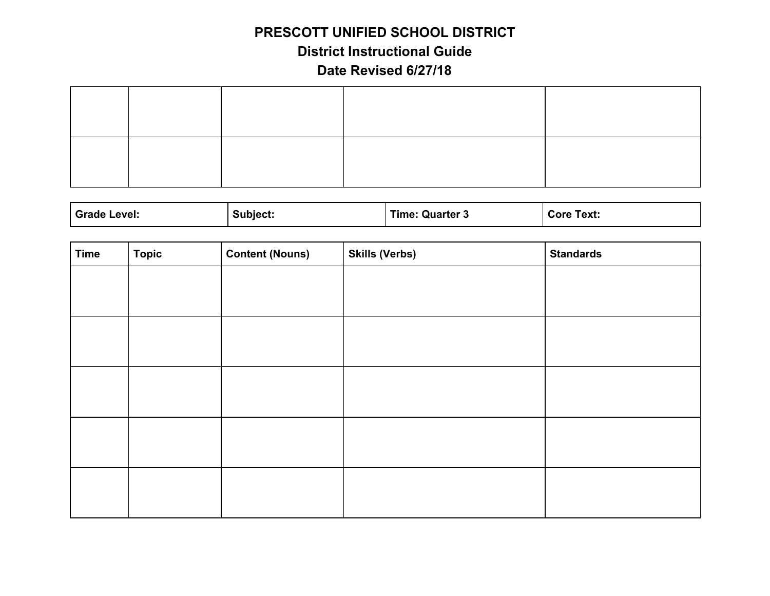# **PRESCOTT UNIFIED SCHOOL DISTRICT District Instructional Guide**

| <b>Grade Level:</b> | Subiect <sup>.</sup> | . Quarter $^\circ$<br>Time: | Core<br>Text: |
|---------------------|----------------------|-----------------------------|---------------|
|                     |                      |                             |               |

| <b>Time</b> | <b>Topic</b> | <b>Content (Nouns)</b> | <b>Skills (Verbs)</b> | <b>Standards</b> |
|-------------|--------------|------------------------|-----------------------|------------------|
|             |              |                        |                       |                  |
|             |              |                        |                       |                  |
|             |              |                        |                       |                  |
|             |              |                        |                       |                  |
|             |              |                        |                       |                  |
|             |              |                        |                       |                  |
|             |              |                        |                       |                  |
|             |              |                        |                       |                  |
|             |              |                        |                       |                  |
|             |              |                        |                       |                  |